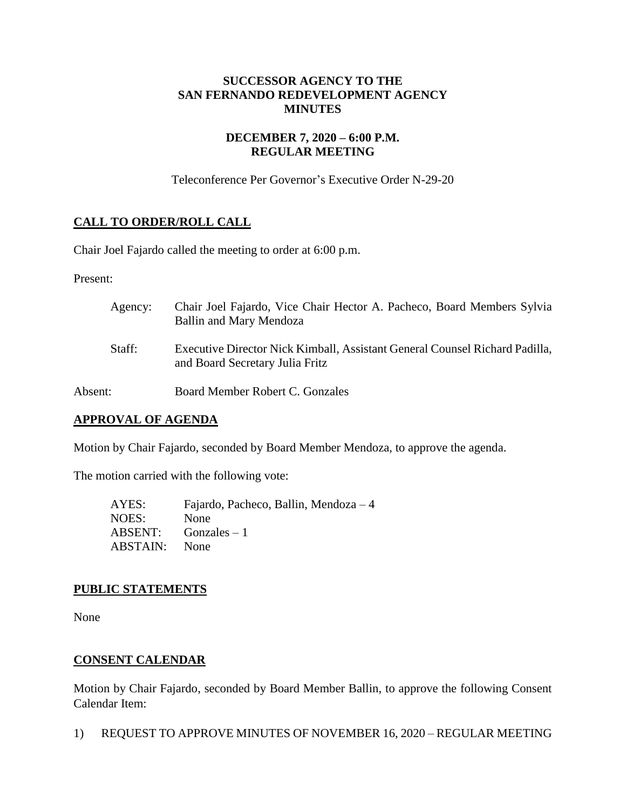## **SUCCESSOR AGENCY TO THE SAN FERNANDO REDEVELOPMENT AGENCY MINUTES**

## **DECEMBER 7, 2020 – 6:00 P.M. REGULAR MEETING**

Teleconference Per Governor's Executive Order N-29-20

# **CALL TO ORDER/ROLL CALL**

Chair Joel Fajardo called the meeting to order at 6:00 p.m.

Present:

| Agency: | Chair Joel Fajardo, Vice Chair Hector A. Pacheco, Board Members Sylvia<br>Ballin and Mary Mendoza              |
|---------|----------------------------------------------------------------------------------------------------------------|
| Staff:  | Executive Director Nick Kimball, Assistant General Counsel Richard Padilla,<br>and Board Secretary Julia Fritz |
| Absent: | Board Member Robert C. Gonzales                                                                                |

#### **APPROVAL OF AGENDA**

Motion by Chair Fajardo, seconded by Board Member Mendoza, to approve the agenda.

The motion carried with the following vote:

| AYES:    | Fajardo, Pacheco, Ballin, Mendoza $-4$ |
|----------|----------------------------------------|
| NOES:    | None                                   |
|          | $ABSENT:$ Gonzales $-1$                |
| ABSTAIN: | <b>None</b>                            |

## **PUBLIC STATEMENTS**

None

## **CONSENT CALENDAR**

Motion by Chair Fajardo, seconded by Board Member Ballin, to approve the following Consent Calendar Item:

1) REQUEST TO APPROVE MINUTES OF NOVEMBER 16, 2020 – REGULAR MEETING